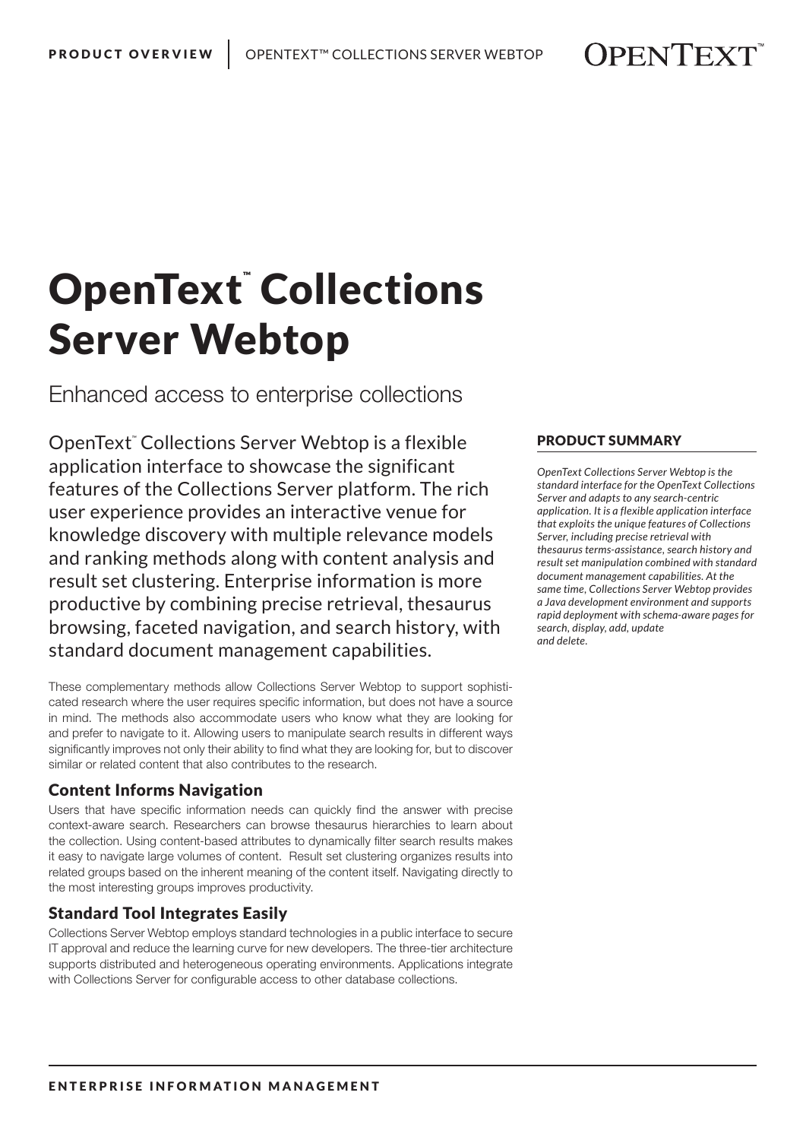# OpenText™Collections Server Webtop

Enhanced access to enterprise collections

OpenText*™* Collections Server Webtop is a flexible application interface to showcase the significant features of the Collections Server platform. The rich user experience provides an interactive venue for knowledge discovery with multiple relevance models and ranking methods along with content analysis and result set clustering. Enterprise information is more productive by combining precise retrieval, thesaurus browsing, faceted navigation, and search history, with standard document management capabilities.

These complementary methods allow Collections Server Webtop to support sophisticated research where the user requires specific information, but does not have a source in mind. The methods also accommodate users who know what they are looking for and prefer to navigate to it. Allowing users to manipulate search results in different ways significantly improves not only their ability to find what they are looking for, but to discover similar or related content that also contributes to the research.

## Content Informs Navigation

Users that have specific information needs can quickly find the answer with precise context-aware search. Researchers can browse thesaurus hierarchies to learn about the collection. Using content-based attributes to dynamically filter search results makes it easy to navigate large volumes of content. Result set clustering organizes results into related groups based on the inherent meaning of the content itself. Navigating directly to the most interesting groups improves productivity.

## Standard Tool Integrates Easily

Collections Server Webtop employs standard technologies in a public interface to secure IT approval and reduce the learning curve for new developers. The three-tier architecture supports distributed and heterogeneous operating environments. Applications integrate with Collections Server for configurable access to other database collections.

### PRODUCT SUMMARY

*OpenText Collections Server Webtop is the standard interface for the OpenText Collections Server and adapts to any search-centric application. It is a flexible application interface that exploits the unique features of Collections Server, including precise retrieval with thesaurus terms-assistance, search history and result set manipulation combined with standard document management capabilities. At the same time, Collections Server Webtop provides a Java development environment and supports rapid deployment with schema-aware pages for search, display, add, update and delete.*

**OPENTEXT**